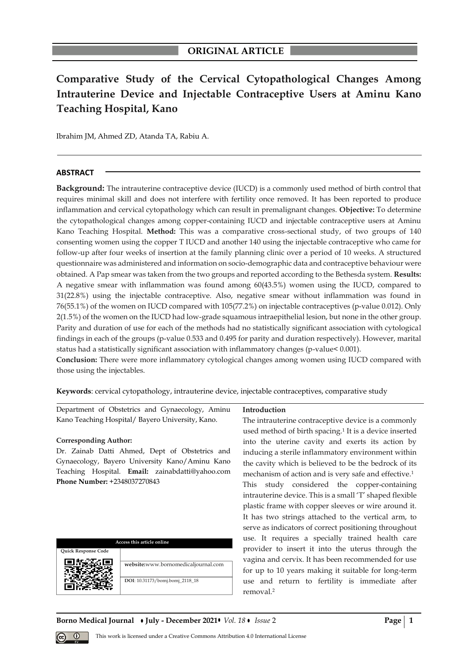# **Comparative Study of the Cervical Cytopathological Changes Among Intrauterine Device and Injectable Contraceptive Users at Aminu Kano Teaching Hospital, Kano**

Ibrahim JM, Ahmed ZD, Atanda TA, Rabiu A.

## **ABSTRACT**

**Background:** The intrauterine contraceptive device (IUCD) is a commonly used method of birth control that requires minimal skill and does not interfere with fertility once removed. It has been reported to produce inflammation and cervical cytopathology which can result in premalignant changes. **Objective:** To determine the cytopathological changes among copper-containing IUCD and injectable contraceptive users at Aminu Kano Teaching Hospital. **Method:** This was a comparative cross-sectional study, of two groups of 140 consenting women using the copper T IUCD and another 140 using the injectable contraceptive who came for follow-up after four weeks of insertion at the family planning clinic over a period of 10 weeks. A structured questionnaire was administered and information on socio-demographic data and contraceptive behaviour were obtained. A Pap smear was taken from the two groups and reported according to the Bethesda system. **Results:** A negative smear with inflammation was found among 60(43.5%) women using the IUCD, compared to 31(22.8%) using the injectable contraceptive. Also, negative smear without inflammation was found in 76(55.1%) of the women on IUCD compared with 105(77.2%) on injectable contraceptives (p-value 0.012). Only 2(1.5%) of the women on the IUCD had low-grade squamous intraepithelial lesion, but none in the other group. Parity and duration of use for each of the methods had no statistically significant association with cytological findings in each of the groups (p-value 0.533 and 0.495 for parity and duration respectively). However, marital status had a statistically significant association with inflammatory changes (p-value< 0.001).

**Conclusion:** There were more inflammatory cytological changes among women using IUCD compared with those using the injectables.

**Keywords**: cervical cytopathology, intrauterine device, injectable contraceptives, comparative study

Department of Obstetrics and Gynaecology, Aminu Kano Teaching Hospital/ Bayero University, Kano.

#### **Corresponding Author:**

Dr. Zainab Datti Ahmed, Dept of Obstetrics and Gynaecology, Bayero University Kano/Aminu Kano Teaching Hospital. **Email:** zainabdatti@yahoo.com **Phone Number:** +2348037270843

| Access this article online |                                                                        |  |  |  |
|----------------------------|------------------------------------------------------------------------|--|--|--|
| <b>Ouick Response Code</b> |                                                                        |  |  |  |
|                            | website:www.bornomedicaljournal.com<br>DOI: 10.31173/bomj.bomj_2118_18 |  |  |  |

**Introduction**

The intrauterine contraceptive device is a commonly used method of birth spacing.<sup>1</sup> It is a device inserted into the uterine cavity and exerts its action by inducing a sterile inflammatory environment within the cavity which is believed to be the bedrock of its mechanism of action and is very safe and effective.<sup>1</sup> This study considered the copper-containing intrauterine device. This is a small 'T' shaped flexible plastic frame with copper sleeves or wire around it. It has two strings attached to the vertical arm, to serve as indicators of correct positioning throughout use. It requires a specially trained health care provider to insert it into the uterus through the vagina and cervix. It has been recommended for use for up to 10 years making it suitable for long-term use and return to fertility is immediate after removal.<sup>2</sup>

**Borno Medical Journal • July - December 2021 •** *Vol.* 18 • Issue 2 **Page 1** 

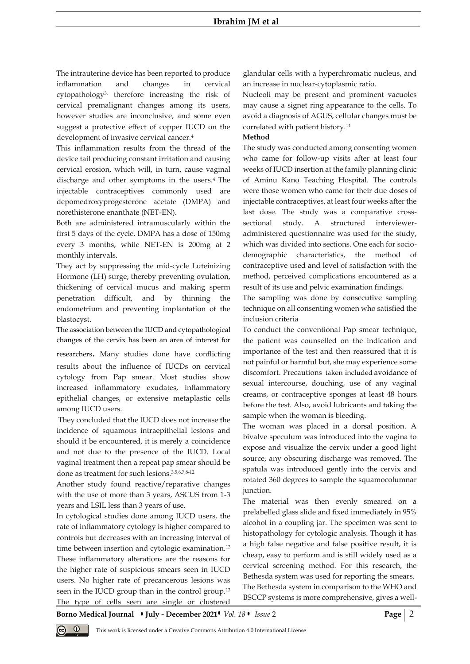The intrauterine device has been reported to produce inflammation and changes in cervical cytopathology3, therefore increasing the risk of cervical premalignant changes among its users, however studies are inconclusive, and some even suggest a protective effect of copper IUCD on the development of invasive cervical cancer.<sup>4</sup>

This inflammation results from the thread of the device tail producing constant irritation and causing cervical erosion, which will, in turn, cause vaginal discharge and other symptoms in the users.4 The injectable contraceptives commonly used are depomedroxyprogesterone acetate (DMPA) and norethisterone enanthate (NET-EN).

Both are administered intramuscularly within the first 5 days of the cycle. DMPA has a dose of 150mg every 3 months, while NET-EN is 200mg at 2 monthly intervals.

They act by suppressing the mid-cycle Luteinizing Hormone (LH) surge, thereby preventing ovulation, thickening of cervical mucus and making sperm penetration difficult, and by thinning the endometrium and preventing implantation of the blastocyst.

The association between the IUCD and cytopathological changes of the cervix has been an area of interest for

researchers. Many studies done have conflicting results about the influence of IUCDs on cervical cytology from Pap smear. Most studies show increased inflammatory exudates, inflammatory epithelial changes, or extensive metaplastic cells among IUCD users.

They concluded that the IUCD does not increase the incidence of squamous intraepithelial lesions and should it be encountered, it is merely a coincidence and not due to the presence of the IUCD. Local vaginal treatment then a repeat pap smear should be done as treatment for such lesions.3,5,6,7,8-12

Another study found reactive/reparative changes with the use of more than 3 years, ASCUS from 1-3 years and LSIL less than 3 years of use.

In cytological studies done among IUCD users, the rate of inflammatory cytology is higher compared to controls but decreases with an increasing interval of time between insertion and cytologic examination.<sup>13</sup> These inflammatory alterations are the reasons for the higher rate of suspicious smears seen in IUCD users. No higher rate of precancerous lesions was seen in the IUCD group than in the control group.<sup>13</sup> The type of cells seen are single or clustered

glandular cells with a hyperchromatic nucleus, and an increase in nuclear-cytoplasmic ratio.

Nucleoli may be present and prominent vacuoles may cause a signet ring appearance to the cells. To avoid a diagnosis of AGUS, cellular changes must be correlated with patient history.<sup>14</sup>

## **Method**

The study was conducted among consenting women who came for follow-up visits after at least four weeks of IUCD insertion at the family planning clinic of Aminu Kano Teaching Hospital. The controls were those women who came for their due doses of injectable contraceptives, at least four weeks after the last dose. The study was a comparative crosssectional study. A structured intervieweradministered questionnaire was used for the study, which was divided into sections. One each for sociodemographic characteristics, the method of contraceptive used and level of satisfaction with the method, perceived complications encountered as a result of its use and pelvic examination findings.

The sampling was done by consecutive sampling technique on all consenting women who satisfied the inclusion criteria

To conduct the conventional Pap smear technique, the patient was counselled on the indication and importance of the test and then reassured that it is not painful or harmful but, she may experience some discomfort. Precautions taken included avoidance of sexual intercourse, douching, use of any vaginal creams, or contraceptive sponges at least 48 hours before the test. Also, avoid lubricants and taking the sample when the woman is bleeding.

The woman was placed in a dorsal position. A bivalve speculum was introduced into the vagina to expose and visualize the cervix under a good light source, any obscuring discharge was removed. The spatula was introduced gently into the cervix and rotated 360 degrees to sample the squamocolumnar junction.

The material was then evenly smeared on a prelabelled glass slide and fixed immediately in 95% alcohol in a coupling jar. The specimen was sent to histopathology for cytologic analysis. Though it has a high false negative and false positive result, it is cheap, easy to perform and is still widely used as a cervical screening method. For this research, the Bethesda system was used for reporting the smears. The Bethesda system in comparison to the WHO and BSCCP systems is more comprehensive, gives a well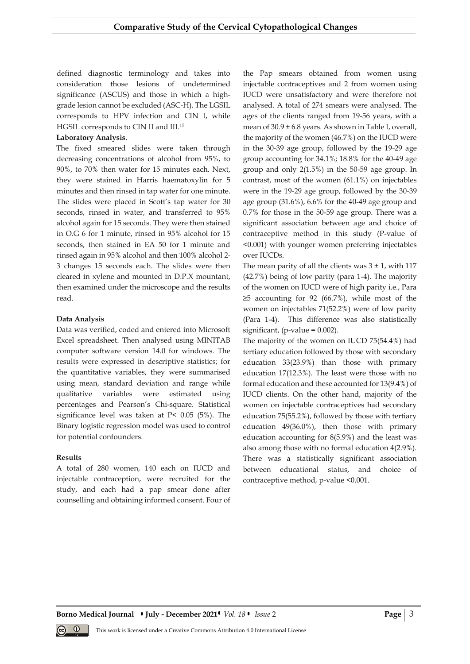defined diagnostic terminology and takes into consideration those lesions of undetermined significance (ASCUS) and those in which a highgrade lesion cannot be excluded (ASC-H). The LGSIL corresponds to HPV infection and CIN I, while HGSIL corresponds to CIN II and III.<sup>15</sup>

## **Laboratory Analysis**.

The fixed smeared slides were taken through decreasing concentrations of alcohol from 95%, to 90%, to 70% then water for 15 minutes each. Next, they were stained in Harris haematoxylin for 5 minutes and then rinsed in tap water for one minute. The slides were placed in Scott's tap water for 30 seconds, rinsed in water, and transferred to 95% alcohol again for 15 seconds. They were then stained in O.G 6 for 1 minute, rinsed in 95% alcohol for 15 seconds, then stained in EA 50 for 1 minute and rinsed again in 95% alcohol and then 100% alcohol 2- 3 changes 15 seconds each. The slides were then cleared in xylene and mounted in D.P.X mountant, then examined under the microscope and the results read.

## **Data Analysis**

Data was verified, coded and entered into Microsoft Excel spreadsheet. Then analysed using MINITAB computer software version 14.0 for windows. The results were expressed in descriptive statistics; for the quantitative variables, they were summarised using mean, standard deviation and range while qualitative variables were estimated using percentages and Pearson's Chi-square. Statistical significance level was taken at P< 0.05 (5%). The Binary logistic regression model was used to control for potential confounders.

## **Results**

A total of 280 women, 140 each on IUCD and injectable contraception, were recruited for the study, and each had a pap smear done after counselling and obtaining informed consent. Four of the Pap smears obtained from women using injectable contraceptives and 2 from women using IUCD were unsatisfactory and were therefore not analysed. A total of 274 smears were analysed. The ages of the clients ranged from 19-56 years, with a mean of  $30.9 \pm 6.8$  years. As shown in Table I, overall, the majority of the women (46.7%) on the IUCD were in the 30-39 age group, followed by the 19-29 age group accounting for 34.1%; 18.8% for the 40-49 age group and only 2(1.5%) in the 50-59 age group. In contrast, most of the women (61.1%) on injectables were in the 19-29 age group, followed by the 30-39 age group (31.6%), 6.6% for the 40-49 age group and 0.7% for those in the 50-59 age group. There was a significant association between age and choice of contraceptive method in this study (P-value of <0.001) with younger women preferring injectables over IUCDs.

The mean parity of all the clients was  $3 \pm 1$ , with 117 (42.7%) being of low parity (para 1-4). The majority of the women on IUCD were of high parity i.e., Para  $\geq$ 5 accounting for 92 (66.7%), while most of the women on injectables 71(52.2%) were of low parity (Para 1-4). This difference was also statistically significant, (p-value  $= 0.002$ ).

The majority of the women on IUCD 75(54.4%) had tertiary education followed by those with secondary education 33(23.9%) than those with primary education 17(12.3%). The least were those with no formal education and these accounted for 13(9.4%) of IUCD clients. On the other hand, majority of the women on injectable contraceptives had secondary education 75(55.2%), followed by those with tertiary education 49(36.0%), then those with primary education accounting for 8(5.9%) and the least was also among those with no formal education 4(2.9%). There was a statistically significant association between educational status, and choice of contraceptive method, p-value <0.001.

**Borno Medical Journal • July - December 2021 •** *Vol. 18* **•** *Issue* **2 <b>Page** | 3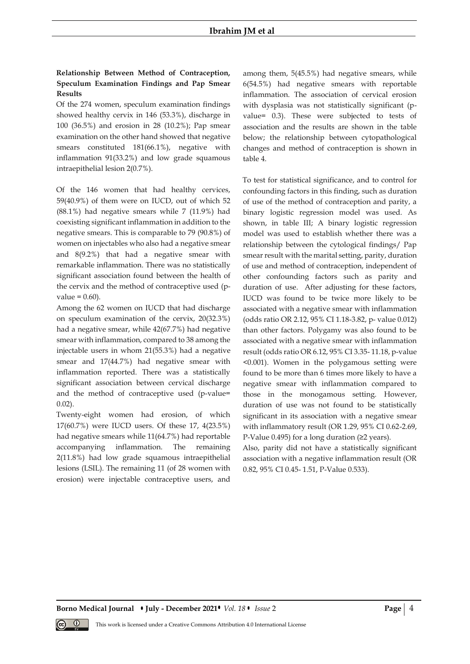## **Ibrahim JM et al**

# **Relationship Between Method of Contraception, Speculum Examination Findings and Pap Smear Results**

Of the 274 women, speculum examination findings showed healthy cervix in 146 (53.3%), discharge in 100 (36.5%) and erosion in 28 (10.2%); Pap smear examination on the other hand showed that negative smears constituted 181(66.1%), negative with inflammation 91(33.2%) and low grade squamous intraepithelial lesion 2(0.7%).

Of the 146 women that had healthy cervices, 59(40.9%) of them were on IUCD, out of which 52 (88.1%) had negative smears while 7 (11.9%) had coexisting significant inflammation in addition to the negative smears. This is comparable to 79 (90.8%) of women on injectables who also had a negative smear and 8(9.2%) that had a negative smear with remarkable inflammation. There was no statistically significant association found between the health of the cervix and the method of contraceptive used (pvalue  $= 0.60$ ).

Among the 62 women on IUCD that had discharge on speculum examination of the cervix, 20(32.3%) had a negative smear, while 42(67.7%) had negative smear with inflammation, compared to 38 among the injectable users in whom 21(55.3%) had a negative smear and 17(44.7%) had negative smear with inflammation reported. There was a statistically significant association between cervical discharge and the method of contraceptive used (p-value= 0.02).

Twenty-eight women had erosion, of which 17(60.7%) were IUCD users. Of these 17, 4(23.5%) had negative smears while 11(64.7%) had reportable accompanying inflammation. The remaining 2(11.8%) had low grade squamous intraepithelial lesions (LSIL). The remaining 11 (of 28 women with erosion) were injectable contraceptive users, and among them, 5(45.5%) had negative smears, while 6(54.5%) had negative smears with reportable inflammation. The association of cervical erosion with dysplasia was not statistically significant (pvalue= 0.3). These were subjected to tests of association and the results are shown in the table below; the relationship between cytopathological changes and method of contraception is shown in table 4.

To test for statistical significance, and to control for confounding factors in this finding, such as duration of use of the method of contraception and parity, a binary logistic regression model was used. As shown, in table III; A binary logistic regression model was used to establish whether there was a relationship between the cytological findings/ Pap smear result with the marital setting, parity, duration of use and method of contraception, independent of other confounding factors such as parity and duration of use. After adjusting for these factors, IUCD was found to be twice more likely to be associated with a negative smear with inflammation (odds ratio OR 2.12, 95% CI 1.18-3.82, p- value 0.012) than other factors. Polygamy was also found to be associated with a negative smear with inflammation result (odds ratio OR 6.12, 95% CI 3.35- 11.18, p-value <0.001). Women in the polygamous setting were found to be more than 6 times more likely to have a negative smear with inflammation compared to those in the monogamous setting. However, duration of use was not found to be statistically significant in its association with a negative smear with inflammatory result (OR 1.29, 95% CI 0.62-2.69, P-Value 0.495) for a long duration (≥2 years).

Also, parity did not have a statistically significant association with a negative inflammation result (OR 0.82, 95% CI 0.45- 1.51, P-Value 0.533).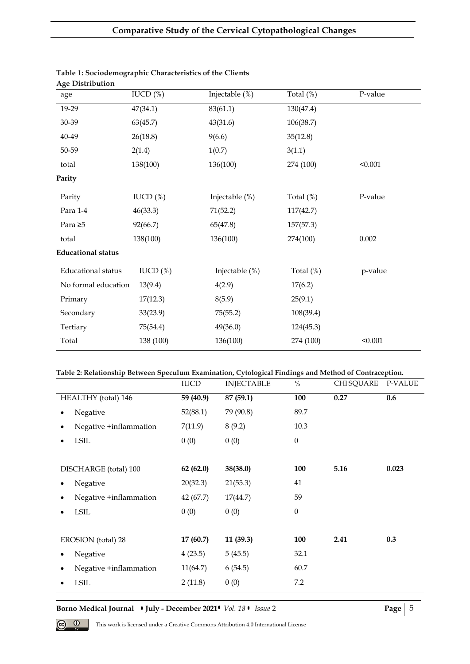| $\sim$<br>age             | IUCD $(\%)$   | Injectable (%) | Total $(\%)$ | P-value |
|---------------------------|---------------|----------------|--------------|---------|
| 19-29                     | 47(34.1)      | 83(61.1)       | 130(47.4)    |         |
| 30-39                     | 63(45.7)      | 43(31.6)       | 106(38.7)    |         |
| 40-49                     | 26(18.8)      | 9(6.6)         | 35(12.8)     |         |
| 50-59                     | 2(1.4)        | 1(0.7)         | 3(1.1)       |         |
| total                     | 138(100)      | 136(100)       | 274 (100)    | < 0.001 |
| Parity                    |               |                |              |         |
| Parity                    | IUCD $(\%)$   | Injectable (%) | Total $(\%)$ | P-value |
| Para 1-4                  | 46(33.3)      | 71(52.2)       | 117(42.7)    |         |
| Para $\geq 5$             | 92(66.7)      | 65(47.8)       | 157(57.3)    |         |
| total                     | 138(100)      | 136(100)       | 274(100)     | 0.002   |
| <b>Educational status</b> |               |                |              |         |
| Educational status        | $IUCD$ $(\%)$ | Injectable (%) | Total $(\%)$ | p-value |
| No formal education       | 13(9.4)       | 4(2.9)         | 17(6.2)      |         |
| Primary                   | 17(12.3)      | 8(5.9)         | 25(9.1)      |         |
| Secondary                 | 33(23.9)      | 75(55.2)       | 108(39.4)    |         |
| Tertiary                  | 75(54.4)      | 49(36.0)       | 124(45.3)    |         |
| Total                     | 138 (100)     | 136(100)       | 274 (100)    | < 0.001 |

#### **Table 1: Sociodemographic Characteristics of the Clients Age Distribution**

# **Table 2: Relationship Between Speculum Examination, Cytological Findings and Method of Contraception.**

| <b>IUCD</b> | <b>INJECTABLE</b> | $\%$             | <b>CHISQUARE</b> | P-VALUE |
|-------------|-------------------|------------------|------------------|---------|
| 59 (40.9)   | 87 (59.1)         | 100              | 0.27             | 0.6     |
| 52(88.1)    | 79 (90.8)         | 89.7             |                  |         |
| 7(11.9)     | 8(9.2)            | 10.3             |                  |         |
| 0(0)        | 0(0)              | $\boldsymbol{0}$ |                  |         |
|             |                   |                  |                  |         |
| 62(62.0)    | 38(38.0)          | 100              | 5.16             | 0.023   |
| 20(32.3)    | 21(55.3)          | 41               |                  |         |
| 42 (67.7)   | 17(44.7)          | 59               |                  |         |
| 0(0)        | 0(0)              | $\theta$         |                  |         |
|             |                   |                  |                  |         |
| 17(60.7)    | 11(39.3)          | 100              | 2.41             | 0.3     |
| 4(23.5)     | 5(45.5)           | 32.1             |                  |         |
| 11(64.7)    | 6(54.5)           | 60.7             |                  |         |
| 2(11.8)     | 0(0)              | 7.2              |                  |         |
|             |                   |                  |                  |         |

**Borno Medical Journal • July - December 2021 •** *Vol. 18* • *Issue* 2 **Page** | 5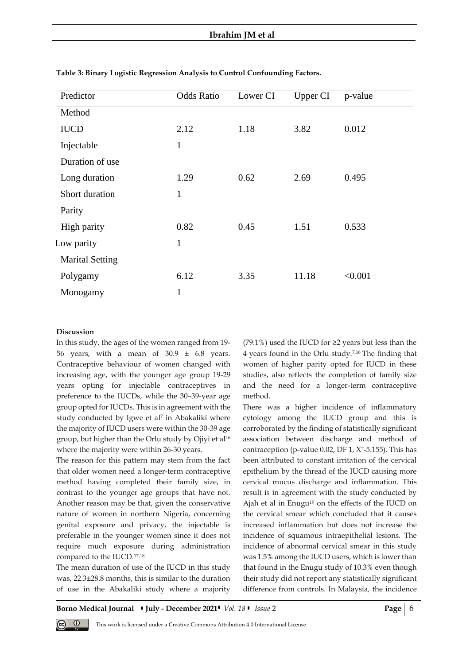# **Ibrahim JM et al**

| Predictor              | <b>Odds Ratio</b> | Lower CI | Upper CI | p-value |
|------------------------|-------------------|----------|----------|---------|
| Method                 |                   |          |          |         |
| <b>IUCD</b>            | 2.12              | 1.18     | 3.82     | 0.012   |
| Injectable             | $\mathbf{1}$      |          |          |         |
| Duration of use        |                   |          |          |         |
| Long duration          | 1.29              | 0.62     | 2.69     | 0.495   |
| Short duration         | $\mathbf{1}$      |          |          |         |
| Parity                 |                   |          |          |         |
| High parity            | 0.82              | 0.45     | 1.51     | 0.533   |
| Low parity             | $\mathbf{1}$      |          |          |         |
| <b>Marital Setting</b> |                   |          |          |         |
| Polygamy               | 6.12              | 3.35     | 11.18    | < 0.001 |
| Monogamy               | $\mathbf{1}$      |          |          |         |

**Table 3: Binary Logistic Regression Analysis to Control Confounding Factors.**

#### **Discussion**

In this study, the ages of the women ranged from 19- 56 years, with a mean of  $30.9 \pm 6.8$  years. Contraceptive behaviour of women changed with increasing age, with the younger age group 19-29 years opting for injectable contraceptives in preference to the IUCDs, while the 30–39-year age group opted for IUCDs. This is in agreement with the study conducted by Igwe et al<sup>7</sup> in Abakaliki where the majority of IUCD users were within the 30-39 age group, but higher than the Orlu study by Ojiyi et al<sup>16</sup> where the majority were within 26-30 years.

The reason for this pattern may stem from the fact that older women need a longer-term contraceptive method having completed their family size, in contrast to the younger age groups that have not. Another reason may be that, given the conservative nature of women in northern Nigeria, concerning genital exposure and privacy, the injectable is preferable in the younger women since it does not require much exposure during administration compared to the IUCD.17,18

The mean duration of use of the IUCD in this study was, 22.3±28.8 months, this is similar to the duration of use in the Abakaliki study where a majority (79.1%) used the IUCD for  $\geq$ 2 years but less than the 4 years found in the Orlu study.7,16 The finding that women of higher parity opted for IUCD in these studies, also reflects the completion of family size and the need for a longer-term contraceptive method.

There was a higher incidence of inflammatory cytology among the IUCD group and this is corroborated by the finding of statistically significant association between discharge and method of contraception (p-value  $0.02$ , DF 1,  $X^2$ -5.155). This has been attributed to constant irritation of the cervical epithelium by the thread of the IUCD causing more cervical mucus discharge and inflammation. This result is in agreement with the study conducted by Ajah et al in Enugu<sup>19</sup> on the effects of the IUCD on the cervical smear which concluded that it causes increased inflammation but does not increase the incidence of squamous intraepithelial lesions. The incidence of abnormal cervical smear in this study was 1.5% among the IUCD users, which is lower than that found in the Enugu study of 10.3% even though their study did not report any statistically significant difference from controls. In Malaysia, the incidence

**Borno Medical Journal • July - December 2021 •** *Vol.* 18 • Issue 2 **Page** | 6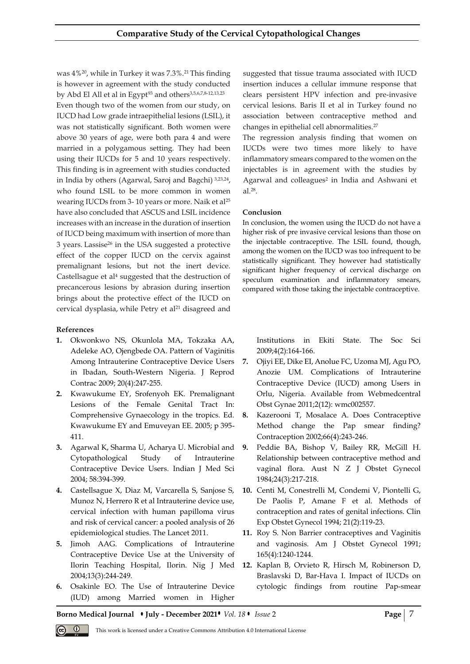was 4%20, while in Turkey it was 7.3%.21 This finding is however in agreement with the study conducted by Abd El All et al in Egypt<sup>93</sup> and others<sup>3,5,6,7,8-12,13,23</sup> Even though two of the women from our study, on IUCD had Low grade intraepithelial lesions (LSIL), it was not statistically significant. Both women were above 30 years of age, were both para 4 and were married in a polygamous setting. They had been using their IUCDs for 5 and 10 years respectively. This finding is in agreement with studies conducted in India by others (Agarwal, Saroj and Bagchi) 3,23,24 , who found LSIL to be more common in women wearing IUCDs from 3-10 years or more. Naik et al<sup>25</sup> have also concluded that ASCUS and LSIL incidence increases with an increase in the duration of insertion of IUCD being maximum with insertion of more than 3 years. Lassise<sup>26</sup> in the USA suggested a protective effect of the copper IUCD on the cervix against premalignant lesions, but not the inert device. Castellsague et al<sup>4</sup> suggested that the destruction of precancerous lesions by abrasion during insertion brings about the protective effect of the IUCD on cervical dysplasia, while Petry et al<sup>21</sup> disagreed and

## **References**

- **1.** Okwonkwo NS, Okunlola MA, Tokzaka AA, Adeleke AO, Ojengbede OA. Pattern of Vaginitis Among Intrauterine Contraceptive Device Users in Ibadan, South-Western Nigeria. J Reprod Contrac 2009; 20(4):247-255.
- **2.** Kwawukume EY, Srofenyoh EK. Premalignant Lesions of the Female Genital Tract In: Comprehensive Gynaecology in the tropics. Ed. Kwawukume EY and Emuveyan EE. 2005; p 395- 411.
- **3.** Agarwal K, Sharma U, Acharya U. Microbial and Cytopathological Study of Intrauterine Contraceptive Device Users. Indian J Med Sci 2004; 58:394-399.
- **4.** Castellsague X, Diaz M, Varcarella S, Sanjose S, Munoz N, Herrero R et al Intrauterine device use, cervical infection with human papilloma virus and risk of cervical cancer: a pooled analysis of 26 epidemiological studies. The Lancet 2011.
- **5.** Jimoh AAG. Complications of Intrauterine Contraceptive Device Use at the University of Ilorin Teaching Hospital, Ilorin. Nig J Med 2004;13(3):244-249.
- **6.** Osakinle EO. The Use of Intrauterine Device (IUD) among Married women in Higher

suggested that tissue trauma associated with IUCD insertion induces a cellular immune response that clears persistent HPV infection and pre-invasive cervical lesions. Baris II et al in Turkey found no association between contraceptive method and changes in epithelial cell abnormalities.<sup>27</sup>

The regression analysis finding that women on IUCDs were two times more likely to have inflammatory smears compared to the women on the injectables is in agreement with the studies by Agarwal and colleagues<sup>2</sup> in India and Ashwani et al.<sup>28</sup> .

## **Conclusion**

In conclusion, the women using the IUCD do not have a higher risk of pre invasive cervical lesions than those on the injectable contraceptive. The LSIL found, though, among the women on the IUCD was too infrequent to be statistically significant. They however had statistically significant higher frequency of cervical discharge on speculum examination and inflammatory smears, compared with those taking the injectable contraceptive.

Institutions in Ekiti State. The Soc Sci 2009;4(2):164-166.

- **7.** Ojiyi EE, Dike EI, Anolue FC, Uzoma MJ, Agu PO, Anozie UM. Complications of Intrauterine Contraceptive Device (IUCD) among Users in Orlu, Nigeria. Available from Webmedcentral Obst Gynae 2011;2(12): wmc002557.
- **8.** Kazerooni T, Mosalace A. Does Contraceptive Method change the Pap smear finding? Contraception 2002;66(4):243-246.
- **9.** Peddie BA, Bishop V, Bailey RR, McGill H. Relationship between contraceptive method and vaginal flora. Aust N Z J Obstet Gynecol 1984;24(3):217-218.
- **10.** Centi M, Conestrelli M, Condemi V, Piontelli G, De Paolis P, Amane F et al. Methods of contraception and rates of genital infections. Clin Exp Obstet Gynecol 1994; 21(2):119-23.
- **11.** Roy S. Non Barrier contraceptives and Vaginitis and vaginosis. Am J Obstet Gynecol 1991; 165(4):1240-1244.
- **12.** Kaplan B, Orvieto R, Hirsch M, Robinerson D, Braslavski D, Bar-Hava I. Impact of IUCDs on cytologic findings from routine Pap-smear

**Borno Medical Journal • July - December 2021 •** *Vol.* **18 • Issue 2 <b>Page 2 Page 2 Page 2 Page 2 Page 2 Page 2 Page 2 Page 2 Page 1 Page 2 Page 1 Page 1 Page 1 Page 1 Page 1 Page 1 Page 1**